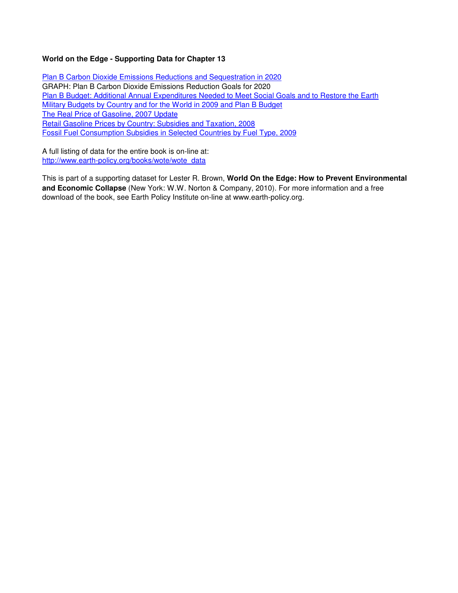## **World on the Edge - Supporting Data for Chapter 13**

Plan B Carbon Dioxide Emissions Reductions and Sequestration in 2020 GRAPH: Plan B Carbon Dioxide Emissions Reduction Goals for 2020 Plan B Budget: Additional Annual Expenditures Needed to Meet Social Goals and to Restore the Earth Military Budgets by Country and for the World in 2009 and Plan B Budget The Real Price of Gasoline, 2007 Update Retail Gasoline Prices by Country: Subsidies and Taxation, 2008 Fossil Fuel Consumption Subsidies in Selected Countries by Fuel Type, 2009

A full listing of data for the entire book is on-line at: http://www.earth-policy.org/books/wote/wote\_data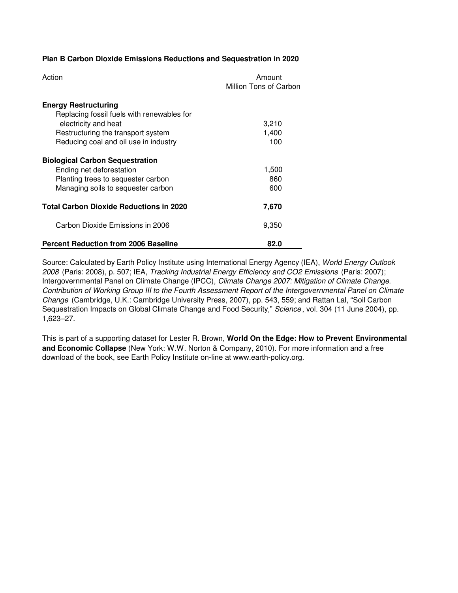|  |  |  |  |  | Plan B Carbon Dioxide Emissions Reductions and Sequestration in 2020 |  |  |
|--|--|--|--|--|----------------------------------------------------------------------|--|--|
|--|--|--|--|--|----------------------------------------------------------------------|--|--|

| Action                                         | Amount                 |
|------------------------------------------------|------------------------|
|                                                | Million Tons of Carbon |
| <b>Energy Restructuring</b>                    |                        |
| Replacing fossil fuels with renewables for     |                        |
| electricity and heat                           | 3,210                  |
| Restructuring the transport system             | 1,400                  |
| Reducing coal and oil use in industry          | 100                    |
| <b>Biological Carbon Sequestration</b>         |                        |
| Ending net deforestation                       | 1,500                  |
| Planting trees to sequester carbon             | 860                    |
| Managing soils to sequester carbon             | 600                    |
| <b>Total Carbon Dioxide Reductions in 2020</b> | 7,670                  |
| Carbon Dioxide Emissions in 2006               | 9.350                  |
| <b>Percent Reduction from 2006 Baseline</b>    | 82.0                   |

Source: Calculated by Earth Policy Institute using International Energy Agency (IEA), World Energy Outlook 2008 (Paris: 2008), p. 507; IEA, Tracking Industrial Energy Efficiency and CO2 Emissions (Paris: 2007); Intergovernmental Panel on Climate Change (IPCC), Climate Change 2007: Mitigation of Climate Change. Contribution of Working Group III to the Fourth Assessment Report of the Intergovernmental Panel on Climate Change (Cambridge, U.K.: Cambridge University Press, 2007), pp. 543, 559; and Rattan Lal, "Soil Carbon Sequestration Impacts on Global Climate Change and Food Security," Science, vol. 304 (11 June 2004), pp. 1,623–27.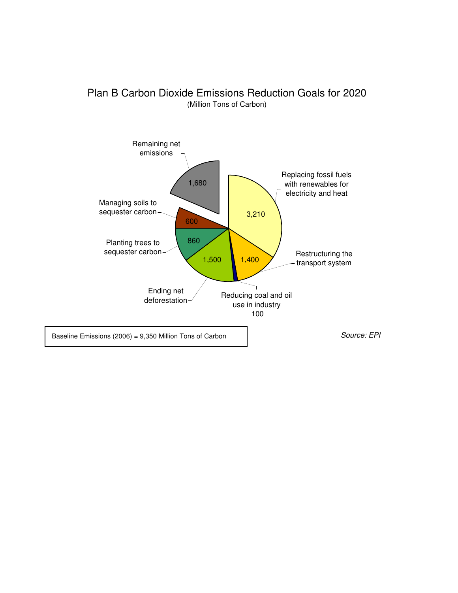

# Plan B Carbon Dioxide Emissions Reduction Goals for 2020 (Million Tons of Carbon)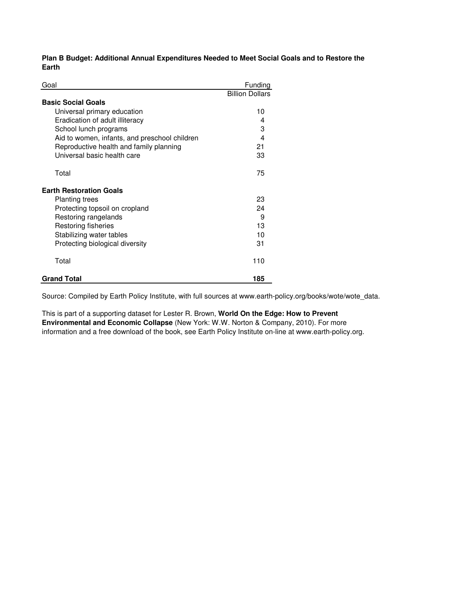**Plan B Budget: Additional Annual Expenditures Needed to Meet Social Goals and to Restore the Earth**

| Goal                                          | Funding                 |
|-----------------------------------------------|-------------------------|
|                                               | <b>Billion Dollars</b>  |
| <b>Basic Social Goals</b>                     |                         |
| Universal primary education                   | 10                      |
| Eradication of adult illiteracy               | 4                       |
| School lunch programs                         | 3                       |
| Aid to women, infants, and preschool children | $\overline{\mathbf{4}}$ |
| Reproductive health and family planning       | 21                      |
| Universal basic health care                   | 33                      |
| Total                                         | 75                      |
| <b>Earth Restoration Goals</b>                |                         |
| <b>Planting trees</b>                         | 23                      |
| Protecting topsoil on cropland                | 24                      |
| Restoring rangelands                          | 9                       |
| Restoring fisheries                           | 13                      |
| Stabilizing water tables                      | 10                      |
| Protecting biological diversity               | 31                      |
| Total                                         | 110                     |
| <b>Grand Total</b>                            | 185                     |

Source: Compiled by Earth Policy Institute, with full sources at www.earth-policy.org/books/wote/wote\_data.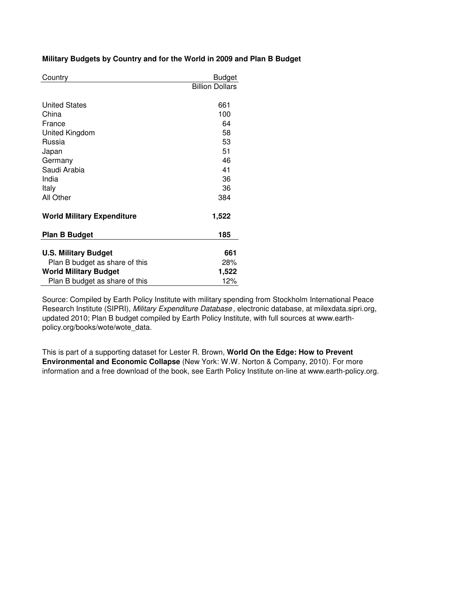### **Military Budgets by Country and for the World in 2009 and Plan B Budget**

| Country                           | <b>Budget</b>          |
|-----------------------------------|------------------------|
|                                   | <b>Billion Dollars</b> |
|                                   |                        |
| <b>United States</b>              | 661                    |
| China                             | 100                    |
| France                            | 64                     |
| United Kingdom                    | 58                     |
| Russia                            | 53                     |
| Japan                             | 51                     |
| Germany                           | 46                     |
| Saudi Arabia                      | 41                     |
| India                             | 36                     |
| Italy                             | 36                     |
| All Other                         | 384                    |
| <b>World Military Expenditure</b> | 1,522                  |
| <b>Plan B Budget</b>              | 185                    |
|                                   |                        |
| <b>U.S. Military Budget</b>       | 661                    |
| Plan B budget as share of this    | 28%                    |
| <b>World Military Budget</b>      | 1,522                  |
| Plan B budget as share of this    | 12%                    |

Source: Compiled by Earth Policy Institute with military spending from Stockholm International Peace Research Institute (SIPRI), Military Expenditure Database, electronic database, at milexdata.sipri.org, updated 2010; Plan B budget compiled by Earth Policy Institute, with full sources at www.earthpolicy.org/books/wote/wote\_data.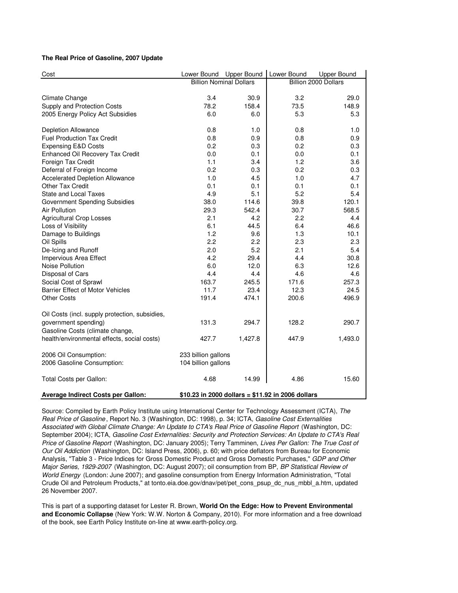#### **The Real Price of Gasoline, 2007 Update**

| Cost                                                | Lower Bound                                | <b>Upper Bound</b> | Lower Bound                                       | <b>Upper Bound</b>   |
|-----------------------------------------------------|--------------------------------------------|--------------------|---------------------------------------------------|----------------------|
|                                                     | <b>Billion Nominal Dollars</b>             |                    |                                                   | Billion 2000 Dollars |
|                                                     |                                            |                    |                                                   |                      |
| Climate Change                                      | 3.4                                        | 30.9               | 3.2                                               | 29.0                 |
| Supply and Protection Costs                         | 78.2                                       | 158.4              | 73.5                                              | 148.9                |
| 2005 Energy Policy Act Subsidies                    | 6.0                                        | 6.0                | 5.3                                               | 5.3                  |
| Depletion Allowance                                 | 0.8                                        | 1.0                | 0.8                                               | 1.0                  |
| <b>Fuel Production Tax Credit</b>                   | 0.8                                        | 0.9                | 0.8                                               | 0.9                  |
| <b>Expensing E&amp;D Costs</b>                      | 0.2                                        | 0.3                | 0.2                                               | 0.3                  |
| Enhanced Oil Recovery Tax Credit                    | 0.0                                        | 0.1                | 0.0                                               | 0.1                  |
| Foreign Tax Credit                                  | 1.1                                        | 3.4                | 1.2                                               | 3.6                  |
| Deferral of Foreign Income                          | 0.2                                        | 0.3                | 0.2                                               | 0.3                  |
| <b>Accelerated Depletion Allowance</b>              | 1.0                                        | 4.5                | 1.0                                               | 4.7                  |
| Other Tax Credit                                    | 0.1                                        | 0.1                | 0.1                                               | 0.1                  |
| <b>State and Local Taxes</b>                        | 4.9                                        | 5.1                | 5.2                                               | 5.4                  |
| <b>Government Spending Subsidies</b>                | 38.0                                       | 114.6              | 39.8                                              | 120.1                |
| Air Pollution                                       | 29.3                                       | 542.4              | 30.7                                              | 568.5                |
| <b>Agricultural Crop Losses</b>                     | 2.1                                        | 4.2                | 2.2                                               | 4.4                  |
| Loss of Visibility                                  | 6.1                                        | 44.5               | 6.4                                               | 46.6                 |
| Damage to Buildings                                 | 1.2                                        | 9.6                | 1.3                                               | 10.1                 |
| Oil Spills                                          | 2.2                                        | 2.2                | 2.3                                               | 2.3                  |
| De-Icing and Runoff                                 | 2.0                                        | 5.2                | 2.1                                               | 5.4                  |
| Impervious Area Effect                              | 4.2                                        | 29.4               | 4.4                                               | 30.8                 |
| Noise Pollution                                     | 6.0                                        | 12.0               | 6.3                                               | 12.6                 |
| Disposal of Cars                                    | 4.4                                        | 4.4                | 4.6                                               | 4.6                  |
| Social Cost of Sprawl                               | 163.7                                      | 245.5              | 171.6                                             | 257.3                |
| <b>Barrier Effect of Motor Vehicles</b>             | 11.7                                       | 23.4               | 12.3                                              | 24.5                 |
| <b>Other Costs</b>                                  | 191.4                                      | 474.1              | 200.6                                             | 496.9                |
| Oil Costs (incl. supply protection, subsidies,      |                                            |                    |                                                   |                      |
| government spending)                                | 131.3                                      | 294.7              | 128.2                                             | 290.7                |
| Gasoline Costs (climate change,                     |                                            |                    |                                                   |                      |
| health/environmental effects, social costs)         | 427.7                                      | 1,427.8            | 447.9                                             | 1,493.0              |
|                                                     |                                            |                    |                                                   |                      |
| 2006 Oil Consumption:<br>2006 Gasoline Consumption: | 233 billion gallons<br>104 billion gallons |                    |                                                   |                      |
|                                                     |                                            |                    |                                                   |                      |
| Total Costs per Gallon:                             | 4.68                                       | 14.99              | 4.86                                              | 15.60                |
| Average Indirect Costs per Gallon:                  |                                            |                    | \$10.23 in 2000 dollars = \$11.92 in 2006 dollars |                      |

Source: Compiled by Earth Policy Institute using International Center for Technology Assessment (ICTA), The Real Price of Gasoline, Report No. 3 (Washington, DC: 1998), p. 34; ICTA, Gasoline Cost Externalities Associated with Global Climate Change: An Update to CTA's Real Price of Gasoline Report (Washington, DC: September 2004); ICTA, Gasoline Cost Externalities: Security and Protection Services: An Update to CTA's Real Price of Gasoline Report (Washington, DC: January 2005); Terry Tamminen, Lives Per Gallon: The True Cost of Our Oil Addiction (Washington, DC: Island Press, 2006), p. 60; with price deflators from Bureau for Economic Analysis, "Table 3 - Price Indices for Gross Domestic Product and Gross Domestic Purchases," GDP and Other Major Series, 1929-2007 (Washington, DC: August 2007); oil consumption from BP, BP Statistical Review of World Energy (London: June 2007); and gasoline consumption from Energy Information Administration, "Total Crude Oil and Petroleum Products," at tonto.eia.doe.gov/dnav/pet/pet\_cons\_psup\_dc\_nus\_mbbl\_a.htm, updated 26 November 2007.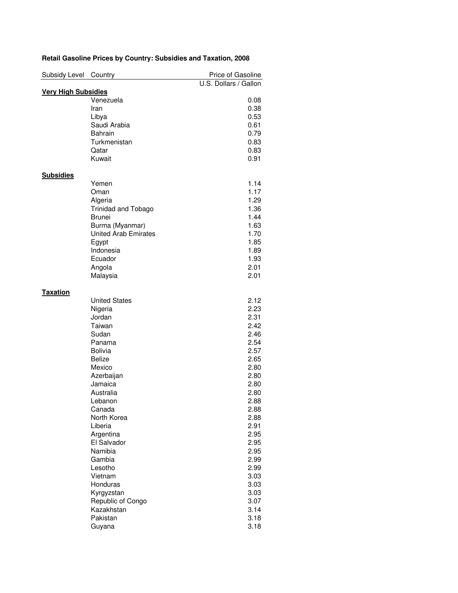| Subsidy Level              | Country                     | Price of Gasoline     |
|----------------------------|-----------------------------|-----------------------|
|                            |                             | U.S. Dollars / Gallon |
| <b>Very High Subsidies</b> |                             |                       |
|                            | Venezuela                   | 0.08                  |
|                            | Iran                        | 0.38                  |
|                            | Libya                       | 0.53                  |
|                            | Saudi Arabia                | 0.61                  |
|                            | <b>Bahrain</b>              | 0.79                  |
|                            | Turkmenistan                | 0.83                  |
|                            | Qatar                       | 0.83                  |
|                            | Kuwait                      | 0.91                  |
|                            |                             |                       |
| <b>Subsidies</b>           |                             |                       |
|                            | Yemen                       | 1.14                  |
|                            | Oman                        | 1.17                  |
|                            | Algeria                     | 1.29                  |
|                            | <b>Trinidad and Tobago</b>  | 1.36                  |
|                            | <b>Brunei</b>               | 1.44                  |
|                            | Burma (Myanmar)             | 1.63                  |
|                            | <b>United Arab Emirates</b> | 1.70                  |
|                            | Egypt                       | 1.85                  |
|                            | Indonesia                   | 1.89                  |
|                            | Ecuador                     | 1.93                  |
|                            |                             |                       |
|                            | Angola                      | 2.01                  |
|                            | Malaysia                    | 2.01                  |
|                            |                             |                       |
| <b>Taxation</b>            | <b>United States</b>        | 2.12                  |
|                            |                             |                       |
|                            | Nigeria                     | 2.23                  |
|                            | Jordan                      | 2.31                  |
|                            | Taiwan                      | 2.42                  |
|                            | Sudan                       | 2.46                  |
|                            | Panama                      | 2.54                  |
|                            | <b>Bolivia</b>              | 2.57                  |
|                            | <b>Belize</b>               | 2.65                  |
|                            | Mexico                      | 2.80                  |
|                            | Azerbaijan                  | 2.80                  |
|                            | Jamaica                     | 2.80                  |
|                            | Australia                   | 2.80                  |
|                            | Lebanon                     | 2.88                  |
|                            | Canada                      | 2.88                  |
|                            | North Korea                 | 2.88                  |
|                            | Liberia                     | 2.91                  |
|                            | Argentina                   | 2.95                  |
|                            | El Salvador                 | 2.95                  |
|                            | Namibia                     | 2.95                  |
|                            | Gambia                      | 2.99                  |
|                            |                             |                       |
|                            | Lesotho                     | 2.99                  |
|                            | Vietnam                     | 3.03                  |
|                            | Honduras                    | 3.03                  |
|                            | Kyrgyzstan                  | 3.03                  |
|                            | Republic of Congo           | 3.07                  |
|                            | Kazakhstan                  | 3.14                  |
|                            | Pakistan                    | 3.18                  |
|                            | Guyana                      | 3.18                  |

# **Retail Gasoline Prices by Country: Subsidies and Taxation, 2008**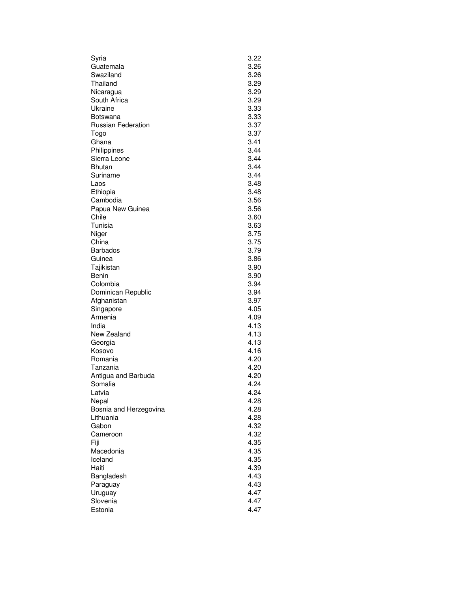| Syria                     | 3.22 |
|---------------------------|------|
| Guatemala                 | 3.26 |
| Swaziland                 | 3.26 |
| Thailand                  | 3.29 |
| Nicaragua                 | 3.29 |
| South Africa              | 3.29 |
| Ukraine                   | 3.33 |
| Botswana                  | 3.33 |
| <b>Russian Federation</b> | 3.37 |
| Togo                      | 3.37 |
| Ghana                     | 3.41 |
| Philippines               | 3.44 |
| Sierra Leone              | 3.44 |
| <b>Bhutan</b>             | 3.44 |
| Suriname                  | 3.44 |
| Laos                      | 3.48 |
| Ethiopia                  | 3.48 |
| Cambodia                  | 3.56 |
| Papua New Guinea          | 3.56 |
| Chile                     | 3.60 |
| Tunisia                   | 3.63 |
| Niger                     | 3.75 |
| China                     | 3.75 |
| <b>Barbados</b>           | 3.79 |
| Guinea                    | 3.86 |
| Tajikistan                | 3.90 |
| Benin                     | 3.90 |
| Colombia                  | 3.94 |
| Dominican Republic        | 3.94 |
| Afghanistan               | 3.97 |
| Singapore                 | 4.05 |
| Armenia                   | 4.09 |
| India                     | 4.13 |
| New Zealand               | 4.13 |
| Georgia                   | 4.13 |
| Kosovo                    | 4.16 |
| Romania                   | 4.20 |
| Tanzania                  | 4.20 |
| Antigua and Barbuda       | 4.20 |
| Somalia                   | 4.24 |
| Latvia                    | 4.24 |
| Nepal                     | 4.28 |
| Bosnia and Herzegovina    | 4.28 |
| Lithuania                 | 4.28 |
| Gabon                     | 4.32 |
| Cameroon                  | 4.32 |
| Fiji                      | 4.35 |
| Macedonia                 | 4.35 |
| Iceland                   | 4.35 |
| Haiti                     | 4.39 |
| Bangladesh                | 4.43 |
| Paraguay                  | 4.43 |
| Uruguay                   | 4.47 |
| Slovenia                  | 4.47 |
| Estonia                   | 4.47 |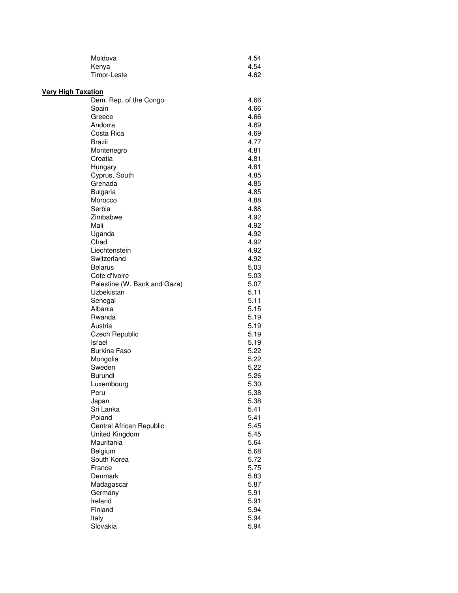| Moldova     | 4.54 |
|-------------|------|
| Kenya       | 4.54 |
| Timor-Leste | 4.62 |

| <b>Very High Taxation</b> |                              |              |
|---------------------------|------------------------------|--------------|
|                           | Dem. Rep. of the Congo       | 4.66         |
|                           | Spain                        | 4.66         |
|                           | Greece                       | 4.66         |
|                           | Andorra                      | 4.69         |
|                           | Costa Rica                   | 4.69         |
|                           | Brazil                       | 4.77         |
|                           | Montenegro                   | 4.81         |
|                           | Croatia                      | 4.81         |
|                           | Hungary                      | 4.81         |
|                           | Cyprus, South                | 4.85         |
|                           | Grenada                      | 4.85         |
|                           | <b>Bulgaria</b>              | 4.85         |
|                           | Morocco                      | 4.88         |
|                           | Serbia                       | 4.88         |
|                           | Zimbabwe                     | 4.92         |
|                           | Mali                         | 4.92         |
|                           | Uganda                       | 4.92         |
|                           | Chad                         | 4.92         |
|                           | Liechtenstein                | 4.92         |
|                           | Switzerland                  | 4.92         |
|                           | <b>Belarus</b>               | 5.03         |
|                           | Cote d'Ivoire                | 5.03         |
|                           | Palestine (W. Bank and Gaza) | 5.07         |
|                           | Uzbekistan                   | 5.11         |
|                           | Senegal                      | 5.11         |
|                           | Albania                      | 5.15         |
|                           | Rwanda                       | 5.19         |
|                           | Austria                      | 5.19         |
|                           | <b>Czech Republic</b>        | 5.19         |
|                           | Israel                       | 5.19         |
|                           | <b>Burkina Faso</b>          | 5.22         |
|                           | Mongolia                     | 5.22         |
|                           | Sweden                       | 5.22         |
|                           | Burundi                      | 5.26         |
|                           | Luxembourg                   | 5.30         |
|                           | Peru                         | 5.38         |
|                           | Japan                        | 5.38         |
|                           | Sri Lanka                    | 5.41         |
|                           | Poland                       | 5.41         |
|                           | Central African Republic     | 5.45         |
|                           | United Kingdom               | 5.45         |
|                           | Mauritania                   | 5.64         |
|                           | Belgium                      | 5.68         |
|                           | South Korea                  | 5.72         |
|                           | France                       | 5.75         |
|                           | Denmark                      | 5.83         |
|                           | Madagascar                   | 5.87         |
|                           | Germany                      | 5.91         |
|                           | Ireland<br>Finland           | 5.91<br>5.94 |
|                           | Italy                        | 5.94         |
|                           | Slovakia                     | 5.94         |
|                           |                              |              |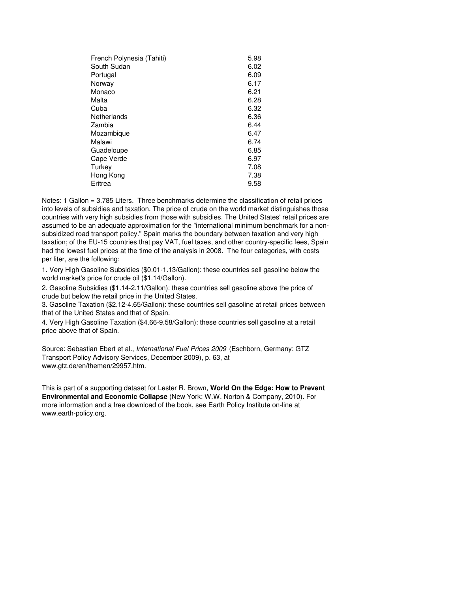| French Polynesia (Tahiti) | 5.98 |
|---------------------------|------|
| South Sudan               | 6.02 |
| Portugal                  | 6.09 |
| Norway                    | 6.17 |
| Monaco                    | 6.21 |
| Malta                     | 6.28 |
| Cuba                      | 6.32 |
| Netherlands               | 6.36 |
| Zambia                    | 6.44 |
| Mozambique                | 6.47 |
| Malawi                    | 6.74 |
| Guadeloupe                | 6.85 |
| Cape Verde                | 6.97 |
| Turkey                    | 7.08 |
| Hong Kong                 | 7.38 |
| Eritrea                   | 9.58 |

Notes: 1 Gallon = 3.785 Liters. Three benchmarks determine the classification of retail prices into levels of subsidies and taxation. The price of crude on the world market distinguishes those countries with very high subsidies from those with subsidies. The United States' retail prices are assumed to be an adequate approximation for the "international minimum benchmark for a nonsubsidized road transport policy." Spain marks the boundary between taxation and very high taxation; of the EU-15 countries that pay VAT, fuel taxes, and other country-specific fees, Spain had the lowest fuel prices at the time of the analysis in 2008. The four categories, with costs per liter, are the following:

1. Very High Gasoline Subsidies (\$0.01-1.13/Gallon): these countries sell gasoline below the world market's price for crude oil (\$1.14/Gallon).

2. Gasoline Subsidies (\$1.14-2.11/Gallon): these countries sell gasoline above the price of crude but below the retail price in the United States.

3. Gasoline Taxation (\$2.12-4.65/Gallon): these countries sell gasoline at retail prices between that of the United States and that of Spain.

4. Very High Gasoline Taxation (\$4.66-9.58/Gallon): these countries sell gasoline at a retail price above that of Spain.

Source: Sebastian Ebert et al., International Fuel Prices 2009 (Eschborn, Germany: GTZ Transport Policy Advisory Services, December 2009), p. 63, at www.gtz.de/en/themen/29957.htm.